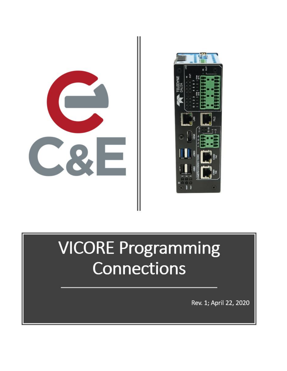



## **VICORE Programming** Connections

Rev. 1; April 22, 2020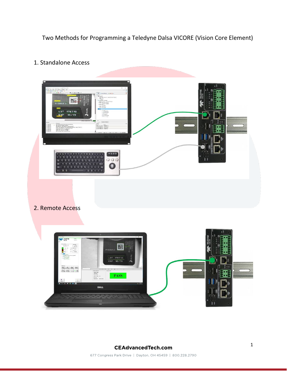Two Methods for Programming a Teledyne Dalsa VICORE (Vision Core Element)

- 醒 17E710  $10 \times 18$  $000$ 2. Remote AccessE 0100089-01 OT 17E710  $ExP$  $10/19$  $\frac{56\pi}{\Delta\Omega_0}$  ,  $\frac{6\pi}{\Delta\Omega_0}$  ,  $\frac{3\pi}{\Omega_0}$  ,  $\frac{1}{\Omega_0}$  ,  $\sim$  $\begin{array}{r} \text{for each } n \\ \text{D} \text{ of } n \text{ is a} \\ \text{D} \text{ of } n \text{ is a} \\ \text{D} \text{ of } n \text{ is a} \\ \text{D} \text{ of } n \text{ is a} \\ \text{D} \text{ of } n \text{ is a} \\ \text{D} \text{ of } n \text{ is a} \\ \text{D} \text{ of } n \text{ is a} \\ \text{D} \text{ of } n \text{ is a} \end{array}$ **PASS** DOLL
- 1. Standalone Access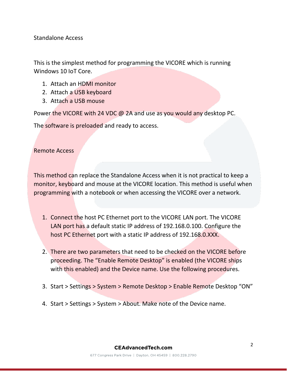## Standalone Access

This is the simplest method for programming the VICORE which is running Windows 10 IoT Core.

- 1. Attach an HDMI monitor
- 2. Attach a USB keyboard
- 3. Attach a USB mouse

Power the VICORE with 24 VDC @ 2A and use as you would any desktop PC.

The software is preloaded and ready to access.

## Remote Access

This method can replace the Standalone Access when it is not practical to keep a monitor, keyboard and mouse at the VICORE location. This method is useful when programming with a notebook or when accessing the VICORE over a network.

- 1. Connect the host PC Ethernet port to the VICORE LAN port. The VICORE LAN port has a default static IP address of 192.168.0.100. Configure the host PC Ethernet port with a static IP address of 192.168.0.XXX.
- 2. There are two parameters that need to be checked on the VICORE before proceeding. The "Enable Remote Desktop" is enabled (the VICORE ships with this enabled) and the Device name. Use the following procedures.
- 3. Start > Settings > System > Remote Desktop > Enable Remote Desktop "ON"
- 4. Start > Settings > System > About. Make note of the Device name.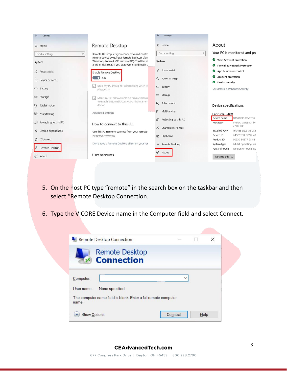| Settings                   |                                                                                                   | Settings                                        |                                                       |
|----------------------------|---------------------------------------------------------------------------------------------------|-------------------------------------------------|-------------------------------------------------------|
| Home<br>⋒                  | Remote Desktop                                                                                    | 命 Home                                          | About                                                 |
| Find a setting<br>$\Omega$ | Remote Desktop lets you connect to and contrc                                                     | $\varphi$<br>Find a setting                     | Your PC is monitored and prc                          |
| System                     | remote device by using a Remote Desktop client<br>Windows, Android, iOS and macOS). You'll be all | System                                          | Virus & Threat Protection                             |
|                            | another device as if you were working directly c                                                  |                                                 | <b>Firewall &amp; Network Protection</b><br>$\bullet$ |
| Focus assist<br>♪          | <b>Enable Remote Desktop</b>                                                                      | Focus assist<br>♪                               | App & browser control<br>✅                            |
| Power & sleep              | $O$ On                                                                                            | $\circ$<br>Power & sleep                        | <b>Account protection</b><br>✅                        |
|                            |                                                                                                   |                                                 | <b>O</b> Device security                              |
| Battery<br>▭               | Keep my PC awake for connections when it.<br>plugged in                                           | Battery<br>$\Box$                               | See details in Windows Security                       |
| Storage<br>$\Box$          | Make my PC discoverable on private networ<br>М                                                    | storage                                         |                                                       |
| Tablet mode<br>叼           | to enable automatic connection from a ren-<br>device                                              | $\Box$<br>Tablet mode                           | Device specifications                                 |
| Multitasking<br>Ħ          | Advanced settings                                                                                 | 目 Multitasking                                  | Latitude 5480                                         |
|                            |                                                                                                   |                                                 | Device name<br>DESKTOP-76V9TR0                        |
| Projecting to this PC      |                                                                                                   | Projecting to this PC<br>中                      | Intel(R) Core(TM) i7-<br>Processor                    |
|                            | How to connect to this PC                                                                         | Shared experiences<br>$\boldsymbol{\mathsf{x}}$ | 2.90 GHZ                                              |
| Shared experiences<br>x    | Use this PC name to connect from your remote                                                      |                                                 | <b>Installed RAM</b><br>16.0 GB (15.9 GB usal         |
|                            | DESKTOP-76V9TR0                                                                                   | Clipboard<br>m.                                 | Device ID<br>746C67DB-DC95-40                         |
| Clipboard<br>ñ             |                                                                                                   |                                                 | Product ID<br>00330-50577-35415-                      |
|                            | Don't have a Remote Desktop client on your ren                                                    | >< Remote Desktop                               | 64-bit operating sys<br>System type                   |
| Remote Desktop             |                                                                                                   |                                                 | Pen and touch<br>No pen or touch inp                  |
| About                      | User accounts                                                                                     | <b>C</b> About                                  | Rename this PC                                        |
|                            |                                                                                                   |                                                 |                                                       |
|                            |                                                                                                   |                                                 |                                                       |
|                            |                                                                                                   |                                                 |                                                       |

- 5. On the host PC type "remote" in the search box on the taskbar and then select "Remote Desktop Connection.
- 6. Type the VICORE Device name in the Computer field and select Connect.